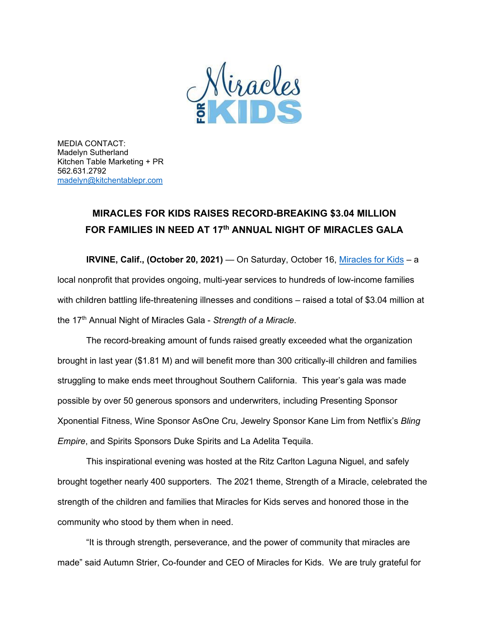

MEDIA CONTACT: Madelyn Sutherland Kitchen Table Marketing + PR 562.631.2792 [madelyn@kitchentablepr.com](mailto:madelyn@kitchentablepr.com)

## **MIRACLES FOR KIDS RAISES RECORD-BREAKING \$3.04 MILLION FOR FAMILIES IN NEED AT 17th ANNUAL NIGHT OF MIRACLES GALA**

**IRVINE, Calif., (October 20, 2021)** — On Saturday, October 16, [Miracles for Kids](https://miraclesforkids.org/) – a local nonprofit that provides ongoing, multi-year services to hundreds of low-income families with children battling life-threatening illnesses and conditions – raised a total of \$3.04 million at the 17th Annual Night of Miracles Gala - *Strength of a Miracle*.

The record-breaking amount of funds raised greatly exceeded what the organization brought in last year (\$1.81 M) and will benefit more than 300 critically-ill children and families struggling to make ends meet throughout Southern California. This year's gala was made possible by over 50 generous sponsors and underwriters, including Presenting Sponsor Xponential Fitness, Wine Sponsor AsOne Cru, Jewelry Sponsor Kane Lim from Netflix's *Bling Empire*, and Spirits Sponsors Duke Spirits and La Adelita Tequila.

This inspirational evening was hosted at the Ritz Carlton Laguna Niguel, and safely brought together nearly 400 supporters. The 2021 theme, Strength of a Miracle, celebrated the strength of the children and families that Miracles for Kids serves and honored those in the community who stood by them when in need.

"It is through strength, perseverance, and the power of community that miracles are made" said Autumn Strier, Co-founder and CEO of Miracles for Kids. We are truly grateful for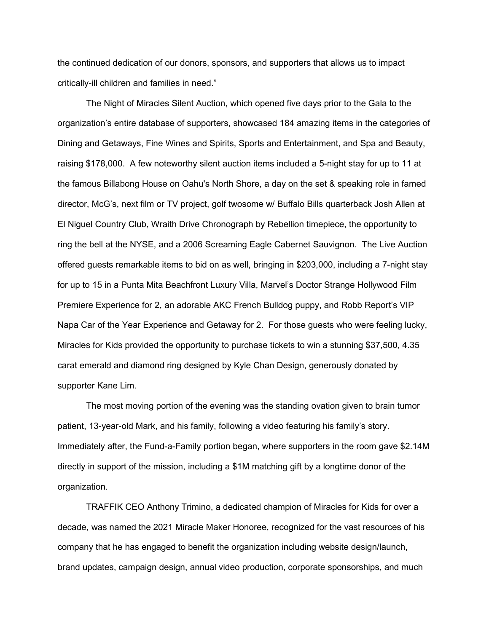the continued dedication of our donors, sponsors, and supporters that allows us to impact critically-ill children and families in need."

The Night of Miracles Silent Auction, which opened five days prior to the Gala to the organization's entire database of supporters, showcased 184 amazing items in the categories of Dining and Getaways, Fine Wines and Spirits, Sports and Entertainment, and Spa and Beauty, raising \$178,000. A few noteworthy silent auction items included a 5-night stay for up to 11 at the famous Billabong House on Oahu's North Shore, a day on the set & speaking role in famed director, McG's, next film or TV project, golf twosome w/ Buffalo Bills quarterback Josh Allen at El Niguel Country Club, Wraith Drive Chronograph by Rebellion timepiece, the opportunity to ring the bell at the NYSE, and a 2006 Screaming Eagle Cabernet Sauvignon. The Live Auction offered guests remarkable items to bid on as well, bringing in \$203,000, including a 7-night stay for up to 15 in a Punta Mita Beachfront Luxury Villa, Marvel's Doctor Strange Hollywood Film Premiere Experience for 2, an adorable AKC French Bulldog puppy, and Robb Report's VIP Napa Car of the Year Experience and Getaway for 2. For those guests who were feeling lucky, Miracles for Kids provided the opportunity to purchase tickets to win a stunning \$37,500, 4.35 carat emerald and diamond ring designed by Kyle Chan Design, generously donated by supporter Kane Lim.

The most moving portion of the evening was the standing ovation given to brain tumor patient, 13-year-old Mark, and his family, following a video featuring his family's story. Immediately after, the Fund-a-Family portion began, where supporters in the room gave \$2.14M directly in support of the mission, including a \$1M matching gift by a longtime donor of the organization.

TRAFFIK CEO Anthony Trimino, a dedicated champion of Miracles for Kids for over a decade, was named the 2021 Miracle Maker Honoree, recognized for the vast resources of his company that he has engaged to benefit the organization including website design/launch, brand updates, campaign design, annual video production, corporate sponsorships, and much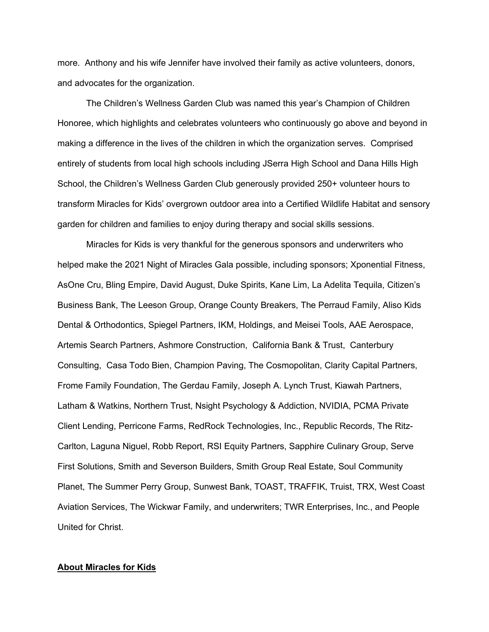more. Anthony and his wife Jennifer have involved their family as active volunteers, donors, and advocates for the organization.

The Children's Wellness Garden Club was named this year's Champion of Children Honoree, which highlights and celebrates volunteers who continuously go above and beyond in making a difference in the lives of the children in which the organization serves. Comprised entirely of students from local high schools including JSerra High School and Dana Hills High School, the Children's Wellness Garden Club generously provided 250+ volunteer hours to transform Miracles for Kids' overgrown outdoor area into a Certified Wildlife Habitat and sensory garden for children and families to enjoy during therapy and social skills sessions.

Miracles for Kids is very thankful for the generous sponsors and underwriters who helped make the 2021 Night of Miracles Gala possible, including sponsors; Xponential Fitness, AsOne Cru, Bling Empire, David August, Duke Spirits, Kane Lim, La Adelita Tequila, Citizen's Business Bank, The Leeson Group, Orange County Breakers, The Perraud Family, Aliso Kids Dental & Orthodontics, Spiegel Partners, IKM, Holdings, and Meisei Tools, AAE Aerospace, Artemis Search Partners, Ashmore Construction, California Bank & Trust, Canterbury Consulting, Casa Todo Bien, Champion Paving, The Cosmopolitan, Clarity Capital Partners, Frome Family Foundation, The Gerdau Family, Joseph A. Lynch Trust, Kiawah Partners, Latham & Watkins, Northern Trust, Nsight Psychology & Addiction, NVIDIA, PCMA Private Client Lending, Perricone Farms, RedRock Technologies, Inc., Republic Records, The Ritz-Carlton, Laguna Niguel, Robb Report, RSI Equity Partners, Sapphire Culinary Group, Serve First Solutions, Smith and Severson Builders, Smith Group Real Estate, Soul Community Planet, The Summer Perry Group, Sunwest Bank, TOAST, TRAFFIK, Truist, TRX, West Coast Aviation Services, The Wickwar Family, and underwriters; TWR Enterprises, Inc., and People United for Christ.

## **About Miracles for Kids**